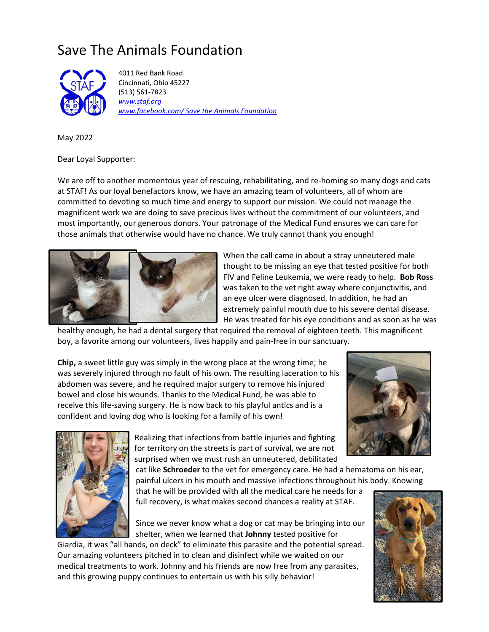## Save The Animals Foundation



 4011 Red Bank Road Cincinnati, Ohio 45227 (513) 561-7823 *www.staf.org www.facebook.com/ Save the Animals Foundation* 

May 2022

Dear Loyal Supporter:

We are off to another momentous year of rescuing, rehabilitating, and re-homing so many dogs and cats at STAF! As our loyal benefactors know, we have an amazing team of volunteers, all of whom are committed to devoting so much time and energy to support our mission. We could not manage the magnificent work we are doing to save precious lives without the commitment of our volunteers, and most importantly, our generous donors. Your patronage of the Medical Fund ensures we can care for those animals that otherwise would have no chance. We truly cannot thank you enough!



When the call came in about a stray unneutered male thought to be missing an eye that tested positive for both FIV and Feline Leukemia, we were ready to help. **Bob Ross** was taken to the vet right away where conjunctivitis, and an eye ulcer were diagnosed. In addition, he had an extremely painful mouth due to his severe dental disease. He was treated for his eye conditions and as soon as he was

healthy enough, he had a dental surgery that required the removal of eighteen teeth. This magnificent boy, a favorite among our volunteers, lives happily and pain-free in our sanctuary.

**Chip,** a sweet little guy was simply in the wrong place at the wrong time; he was severely injured through no fault of his own. The resulting laceration to his abdomen was severe, and he required major surgery to remove his injured bowel and close his wounds. Thanks to the Medical Fund, he was able to receive this life-saving surgery. He is now back to his playful antics and is a confident and loving dog who is looking for a family of his own!





Realizing that infections from battle injuries and fighting for territory on the streets is part of survival, we are not surprised when we must rush an unneutered, debilitated

cat like **Schroeder** to the vet for emergency care. He had a hematoma on his ear, painful ulcers in his mouth and massive infections throughout his body. Knowing

that he will be provided with all the medical care he needs for a full recovery, is what makes second chances a reality at STAF.

Since we never know what a dog or cat may be bringing into our shelter, when we learned that **Johnny** tested positive for

Giardia, it was "all hands, on deck" to eliminate this parasite and the potential spread. Our amazing volunteers pitched in to clean and disinfect while we waited on our medical treatments to work. Johnny and his friends are now free from any parasites, and this growing puppy continues to entertain us with his silly behavior!